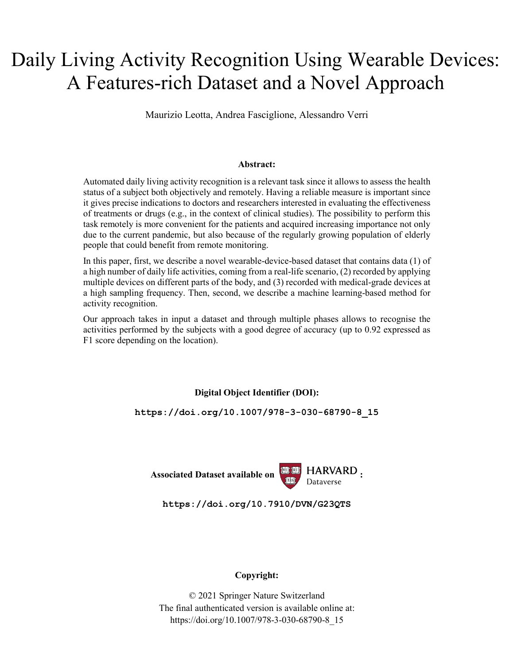# Daily Living Activity Recognition Using Wearable Devices: A Features-rich Dataset and a Novel Approach

Maurizio Leotta, Andrea Fasciglione, Alessandro Verri

# **Abstract:**

Automated daily living activity recognition is a relevant task since it allows to assess the health status of a subject both objectively and remotely. Having a reliable measure is important since it gives precise indications to doctors and researchers interested in evaluating the effectiveness of treatments or drugs (e.g., in the context of clinical studies). The possibility to perform this task remotely is more convenient for the patients and acquired increasing importance not only due to the current pandemic, but also because of the regularly growing population of elderly people that could benefit from remote monitoring.

In this paper, first, we describe a novel wearable-device-based dataset that contains data (1) of a high number of daily life activities, coming from a real-life scenario, (2) recorded by applying multiple devices on different parts of the body, and (3) recorded with medical-grade devices at a high sampling frequency. Then, second, we describe a machine learning-based method for activity recognition.

Our approach takes in input a dataset and through multiple phases allows to recognise the activities performed by the subjects with a good degree of accuracy (up to 0.92 expressed as F1 score depending on the location).

# **Digital Object Identifier (DOI):**

**https://doi.org/10.1007/978-3-030-68790-8\_15**



**https://doi.org/10.7910/DVN/G23QTS**

# **Copyright:**

© 2021 Springer Nature Switzerland The final authenticated version is available online at: https://doi.org/10.1007/978-3-030-68790-8\_15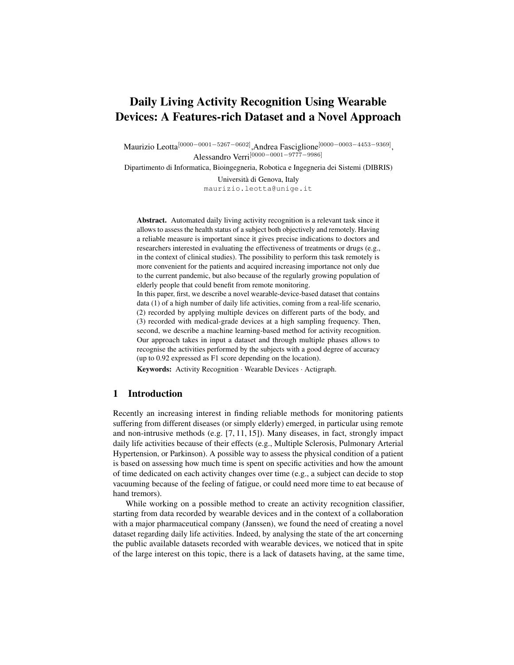# Daily Living Activity Recognition Using Wearable Devices: A Features-rich Dataset and a Novel Approach

Maurizio Leotta $^{[0000-0001-5267-0602]},$ Andrea Fasciglione $^{[0000-0003-4453-9369]},$ Alessandro Verri[0000−0001−9777−9986]

Dipartimento di Informatica, Bioingegneria, Robotica e Ingegneria dei Sistemi (DIBRIS)

Università di Genova, Italy maurizio.leotta@unige.it

Abstract. Automated daily living activity recognition is a relevant task since it allows to assess the health status of a subject both objectively and remotely. Having a reliable measure is important since it gives precise indications to doctors and researchers interested in evaluating the effectiveness of treatments or drugs (e.g., in the context of clinical studies). The possibility to perform this task remotely is more convenient for the patients and acquired increasing importance not only due to the current pandemic, but also because of the regularly growing population of elderly people that could benefit from remote monitoring.

In this paper, first, we describe a novel wearable-device-based dataset that contains data (1) of a high number of daily life activities, coming from a real-life scenario, (2) recorded by applying multiple devices on different parts of the body, and (3) recorded with medical-grade devices at a high sampling frequency. Then, second, we describe a machine learning-based method for activity recognition. Our approach takes in input a dataset and through multiple phases allows to recognise the activities performed by the subjects with a good degree of accuracy (up to 0.92 expressed as F1 score depending on the location).

Keywords: Activity Recognition · Wearable Devices · Actigraph.

# 1 Introduction

Recently an increasing interest in finding reliable methods for monitoring patients suffering from different diseases (or simply elderly) emerged, in particular using remote and non-intrusive methods (e.g. [7, 11, 15]). Many diseases, in fact, strongly impact daily life activities because of their effects (e.g., Multiple Sclerosis, Pulmonary Arterial Hypertension, or Parkinson). A possible way to assess the physical condition of a patient is based on assessing how much time is spent on specific activities and how the amount of time dedicated on each activity changes over time (e.g., a subject can decide to stop vacuuming because of the feeling of fatigue, or could need more time to eat because of hand tremors).

While working on a possible method to create an activity recognition classifier, starting from data recorded by wearable devices and in the context of a collaboration with a major pharmaceutical company (Janssen), we found the need of creating a novel dataset regarding daily life activities. Indeed, by analysing the state of the art concerning the public available datasets recorded with wearable devices, we noticed that in spite of the large interest on this topic, there is a lack of datasets having, at the same time,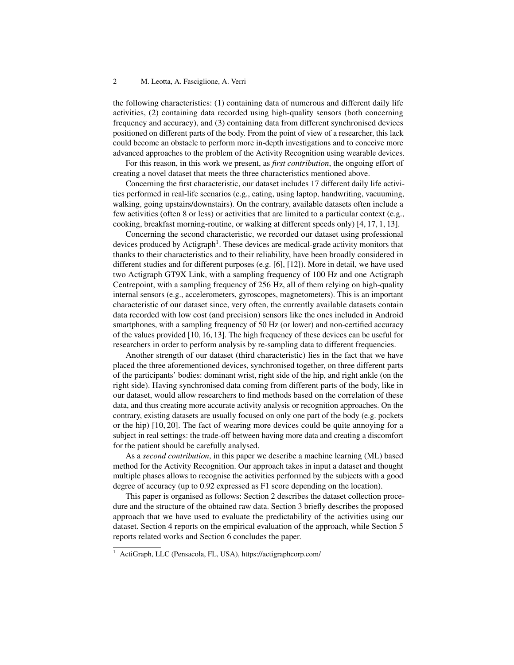#### 2 M. Leotta, A. Fasciglione, A. Verri

the following characteristics: (1) containing data of numerous and different daily life activities, (2) containing data recorded using high-quality sensors (both concerning frequency and accuracy), and (3) containing data from different synchronised devices positioned on different parts of the body. From the point of view of a researcher, this lack could become an obstacle to perform more in-depth investigations and to conceive more advanced approaches to the problem of the Activity Recognition using wearable devices.

For this reason, in this work we present, as *first contribution*, the ongoing effort of creating a novel dataset that meets the three characteristics mentioned above.

Concerning the first characteristic, our dataset includes 17 different daily life activities performed in real-life scenarios (e.g., eating, using laptop, handwriting, vacuuming, walking, going upstairs/downstairs). On the contrary, available datasets often include a few activities (often 8 or less) or activities that are limited to a particular context (e.g., cooking, breakfast morning-routine, or walking at different speeds only) [4, 17, 1, 13].

Concerning the second characteristic, we recorded our dataset using professional devices produced by Actigraph<sup>1</sup>. These devices are medical-grade activity monitors that thanks to their characteristics and to their reliability, have been broadly considered in different studies and for different purposes (e.g. [6], [12]). More in detail, we have used two Actigraph GT9X Link, with a sampling frequency of 100 Hz and one Actigraph Centrepoint, with a sampling frequency of 256 Hz, all of them relying on high-quality internal sensors (e.g., accelerometers, gyroscopes, magnetometers). This is an important characteristic of our dataset since, very often, the currently available datasets contain data recorded with low cost (and precision) sensors like the ones included in Android smartphones, with a sampling frequency of 50 Hz (or lower) and non-certified accuracy of the values provided [10, 16, 13]. The high frequency of these devices can be useful for researchers in order to perform analysis by re-sampling data to different frequencies.

Another strength of our dataset (third characteristic) lies in the fact that we have placed the three aforementioned devices, synchronised together, on three different parts of the participants' bodies: dominant wrist, right side of the hip, and right ankle (on the right side). Having synchronised data coming from different parts of the body, like in our dataset, would allow researchers to find methods based on the correlation of these data, and thus creating more accurate activity analysis or recognition approaches. On the contrary, existing datasets are usually focused on only one part of the body (e.g. pockets or the hip) [10, 20]. The fact of wearing more devices could be quite annoying for a subject in real settings: the trade-off between having more data and creating a discomfort for the patient should be carefully analysed.

As a *second contribution*, in this paper we describe a machine learning (ML) based method for the Activity Recognition. Our approach takes in input a dataset and thought multiple phases allows to recognise the activities performed by the subjects with a good degree of accuracy (up to 0.92 expressed as F1 score depending on the location).

This paper is organised as follows: Section 2 describes the dataset collection procedure and the structure of the obtained raw data. Section 3 briefly describes the proposed approach that we have used to evaluate the predictability of the activities using our dataset. Section 4 reports on the empirical evaluation of the approach, while Section 5 reports related works and Section 6 concludes the paper.

<sup>1</sup> ActiGraph, LLC (Pensacola, FL, USA), https://actigraphcorp.com/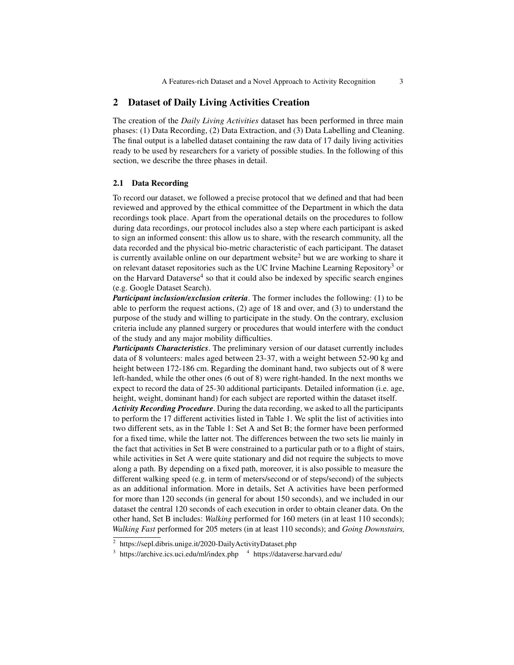## 2 Dataset of Daily Living Activities Creation

The creation of the *Daily Living Activities* dataset has been performed in three main phases: (1) Data Recording, (2) Data Extraction, and (3) Data Labelling and Cleaning. The final output is a labelled dataset containing the raw data of 17 daily living activities ready to be used by researchers for a variety of possible studies. In the following of this section, we describe the three phases in detail.

#### 2.1 Data Recording

To record our dataset, we followed a precise protocol that we defined and that had been reviewed and approved by the ethical committee of the Department in which the data recordings took place. Apart from the operational details on the procedures to follow during data recordings, our protocol includes also a step where each participant is asked to sign an informed consent: this allow us to share, with the research community, all the data recorded and the physical bio-metric characteristic of each participant. The dataset is currently available online on our department website<sup>2</sup> but we are working to share it on relevant dataset repositories such as the UC Irvine Machine Learning Repository<sup>3</sup> or on the Harvard Dataverse<sup>4</sup> so that it could also be indexed by specific search engines (e.g. Google Dataset Search).

*Participant inclusion/exclusion criteria*. The former includes the following: (1) to be able to perform the request actions, (2) age of 18 and over, and (3) to understand the purpose of the study and willing to participate in the study. On the contrary, exclusion criteria include any planned surgery or procedures that would interfere with the conduct of the study and any major mobility difficulties.

*Participants Characteristics*. The preliminary version of our dataset currently includes data of 8 volunteers: males aged between 23-37, with a weight between 52-90 kg and height between 172-186 cm. Regarding the dominant hand, two subjects out of 8 were left-handed, while the other ones (6 out of 8) were right-handed. In the next months we expect to record the data of 25-30 additional participants. Detailed information (i.e. age, height, weight, dominant hand) for each subject are reported within the dataset itself.

*Activity Recording Procedure*. During the data recording, we asked to all the participants to perform the 17 different activities listed in Table 1. We split the list of activities into two different sets, as in the Table 1: Set A and Set B; the former have been performed for a fixed time, while the latter not. The differences between the two sets lie mainly in the fact that activities in Set B were constrained to a particular path or to a flight of stairs, while activities in Set A were quite stationary and did not require the subjects to move along a path. By depending on a fixed path, moreover, it is also possible to measure the different walking speed (e.g. in term of meters/second or of steps/second) of the subjects as an additional information. More in details, Set A activities have been performed for more than 120 seconds (in general for about 150 seconds), and we included in our dataset the central 120 seconds of each execution in order to obtain cleaner data. On the other hand, Set B includes: *Walking* performed for 160 meters (in at least 110 seconds); *Walking Fast* performed for 205 meters (in at least 110 seconds); and *Going Downstairs,*

<sup>&</sup>lt;sup>2</sup> https://sepl.dibris.unige.it/2020-DailyActivityDataset.php

<sup>&</sup>lt;sup>3</sup> https://archive.ics.uci.edu/ml/index.php <sup>4</sup> https://dataverse.harvard.edu/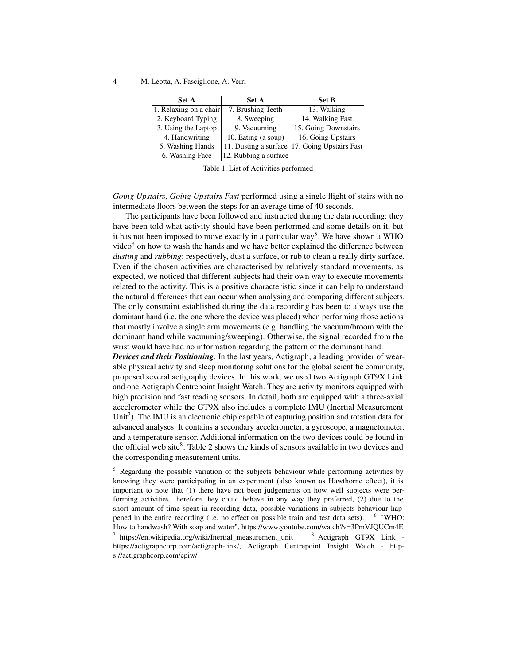4 M. Leotta, A. Fasciglione, A. Verri

| Set A                  | Set A                 | <b>Set B</b>            |
|------------------------|-----------------------|-------------------------|
| 1. Relaxing on a chair | 7. Brushing Teeth     | 13. Walking             |
| 2. Keyboard Typing     | 8. Sweeping           | 14. Walking Fast        |
| 3. Using the Laptop    | 9. Vacuuming          | 15. Going Downstairs    |
| 4. Handwriting         | 10. Eating (a soup)   | 16. Going Upstairs      |
| 5. Washing Hands       | 11. Dusting a surface | 17. Going Upstairs Fast |
| 6. Washing Face        | 12. Rubbing a surface |                         |

Table 1. List of Activities performed

*Going Upstairs, Going Upstairs Fast* performed using a single flight of stairs with no intermediate floors between the steps for an average time of 40 seconds.

The participants have been followed and instructed during the data recording: they have been told what activity should have been performed and some details on it, but it has not been imposed to move exactly in a particular way<sup>5</sup>. We have shown a WHO video $<sup>6</sup>$  on how to wash the hands and we have better explained the difference between</sup> *dusting* and *rubbing*: respectively, dust a surface, or rub to clean a really dirty surface. Even if the chosen activities are characterised by relatively standard movements, as expected, we noticed that different subjects had their own way to execute movements related to the activity. This is a positive characteristic since it can help to understand the natural differences that can occur when analysing and comparing different subjects. The only constraint established during the data recording has been to always use the dominant hand (i.e. the one where the device was placed) when performing those actions that mostly involve a single arm movements (e.g. handling the vacuum/broom with the dominant hand while vacuuming/sweeping). Otherwise, the signal recorded from the wrist would have had no information regarding the pattern of the dominant hand.

*Devices and their Positioning*. In the last years, Actigraph, a leading provider of wearable physical activity and sleep monitoring solutions for the global scientific community, proposed several actigraphy devices. In this work, we used two Actigraph GT9X Link and one Actigraph Centrepoint Insight Watch. They are activity monitors equipped with high precision and fast reading sensors. In detail, both are equipped with a three-axial accelerometer while the GT9X also includes a complete IMU (Inertial Measurement Unit<sup>7</sup>). The IMU is an electronic chip capable of capturing position and rotation data for advanced analyses. It contains a secondary accelerometer, a gyroscope, a magnetometer, and a temperature sensor. Additional information on the two devices could be found in the official web site<sup>8</sup>. Table 2 shows the kinds of sensors available in two devices and the corresponding measurement units.

<sup>&</sup>lt;sup>5</sup> Regarding the possible variation of the subjects behaviour while performing activities by knowing they were participating in an experiment (also known as Hawthorne effect), it is important to note that (1) there have not been judgements on how well subjects were performing activities, therefore they could behave in any way they preferred, (2) due to the short amount of time spent in recording data, possible variations in subjects behaviour happened in the entire recording (i.e. no effect on possible train and test data sets). <sup>6</sup> "WHO: How to handwash? With soap and water", https://www.youtube.com/watch?v=3PmVJQUCm4E 7 https://en.wikipedia.org/wiki/Inertial\_measurement\_unit <sup>8</sup> Actigraph GT9X Link https://actigraphcorp.com/actigraph-link/, Actigraph Centrepoint Insight Watch - https://actigraphcorp.com/cpiw/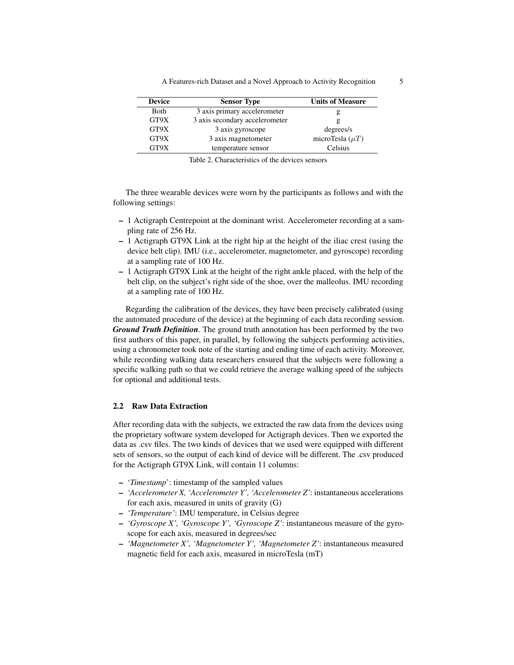| <b>Device</b> | <b>Sensor Type</b>             | <b>Units of Measure</b> |
|---------------|--------------------------------|-------------------------|
| <b>Both</b>   | 3 axis primary accelerometer   |                         |
| GT9X          | 3 axis secondary accelerometer | g                       |
| GT9X          | 3 axis gyroscope               | degrees/s               |
| GT9X          | 3 axis magnetometer            | microTesla $(\mu T)$    |
| GT9X          | temperature sensor             | Celsius                 |

Table 2. Characteristics of the devices sensors

The three wearable devices were worn by the participants as follows and with the following settings:

- 1 Actigraph Centrepoint at the dominant wrist. Accelerometer recording at a sampling rate of 256 Hz.
- 1 Actigraph GT9X Link at the right hip at the height of the iliac crest (using the device belt clip). IMU (i.e., accelerometer, magnetometer, and gyroscope) recording at a sampling rate of 100 Hz.
- 1 Actigraph GT9X Link at the height of the right ankle placed, with the help of the belt clip, on the subject's right side of the shoe, over the malleolus. IMU recording at a sampling rate of 100 Hz.

Regarding the calibration of the devices, they have been precisely calibrated (using the automated procedure of the device) at the beginning of each data recording session. *Ground Truth Definition*. The ground truth annotation has been performed by the two first authors of this paper, in parallel, by following the subjects performing activities, using a chronometer took note of the starting and ending time of each activity. Moreover, while recording walking data researchers ensured that the subjects were following a specific walking path so that we could retrieve the average walking speed of the subjects for optional and additional tests.

# 2.2 Raw Data Extraction

After recording data with the subjects, we extracted the raw data from the devices using the proprietary software system developed for Actigraph devices. Then we exported the data as .csv files. The two kinds of devices that we used were equipped with different sets of sensors, so the output of each kind of device will be different. The .csv produced for the Actigraph GT9X Link, will contain 11 columns:

- '*Timestamp*': timestamp of the sampled values
- *'Accelerometer X, 'Accelerometer Y', 'Accelerometer Z'*: instantaneous accelerations for each axis, measured in units of gravity (G)
- *'Temperature'*: IMU temperature, in Celsius degree
- *'Gyroscope X', 'Gyroscope Y', 'Gyroscope Z'*: instantaneous measure of the gyroscope for each axis, measured in degrees/sec
- *'Magnetometer X', 'Magnetometer Y', 'Magnetometer Z'*: instantaneous measured magnetic field for each axis, measured in microTesla (mT)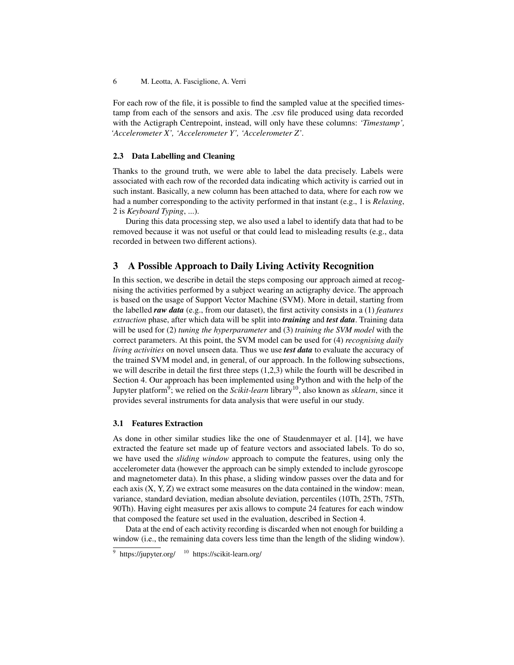For each row of the file, it is possible to find the sampled value at the specified timestamp from each of the sensors and axis. The .csv file produced using data recorded with the Actigraph Centrepoint, instead, will only have these columns: *'Timestamp', 'Accelerometer X', 'Accelerometer Y', 'Accelerometer Z'*.

#### 2.3 Data Labelling and Cleaning

Thanks to the ground truth, we were able to label the data precisely. Labels were associated with each row of the recorded data indicating which activity is carried out in such instant. Basically, a new column has been attached to data, where for each row we had a number corresponding to the activity performed in that instant (e.g., 1 is *Relaxing*, 2 is *Keyboard Typing*, ...).

During this data processing step, we also used a label to identify data that had to be removed because it was not useful or that could lead to misleading results (e.g., data recorded in between two different actions).

# 3 A Possible Approach to Daily Living Activity Recognition

In this section, we describe in detail the steps composing our approach aimed at recognising the activities performed by a subject wearing an actigraphy device. The approach is based on the usage of Support Vector Machine (SVM). More in detail, starting from the labelled *raw data* (e.g., from our dataset), the first activity consists in a (1) *features extraction* phase, after which data will be split into *training* and *test data*. Training data will be used for (2) *tuning the hyperparameter* and (3) *training the SVM model* with the correct parameters. At this point, the SVM model can be used for (4) *recognising daily living activities* on novel unseen data. Thus we use *test data* to evaluate the accuracy of the trained SVM model and, in general, of our approach. In the following subsections, we will describe in detail the first three steps  $(1,2,3)$  while the fourth will be described in Section 4. Our approach has been implemented using Python and with the help of the Jupyter platform<sup>9</sup>; we relied on the *Scikit-learn* library<sup>10</sup>, also known as *sklearn*, since it provides several instruments for data analysis that were useful in our study.

#### 3.1 Features Extraction

As done in other similar studies like the one of Staudenmayer et al. [14], we have extracted the feature set made up of feature vectors and associated labels. To do so, we have used the *sliding window* approach to compute the features, using only the accelerometer data (however the approach can be simply extended to include gyroscope and magnetometer data). In this phase, a sliding window passes over the data and for each axis  $(X, Y, Z)$  we extract some measures on the data contained in the window: mean, variance, standard deviation, median absolute deviation, percentiles (10Th, 25Th, 75Th, 90Th). Having eight measures per axis allows to compute 24 features for each window that composed the feature set used in the evaluation, described in Section 4.

Data at the end of each activity recording is discarded when not enough for building a window (i.e., the remaining data covers less time than the length of the sliding window).

<sup>&</sup>lt;sup>9</sup> https://jupyter.org/ <sup>10</sup> https://scikit-learn.org/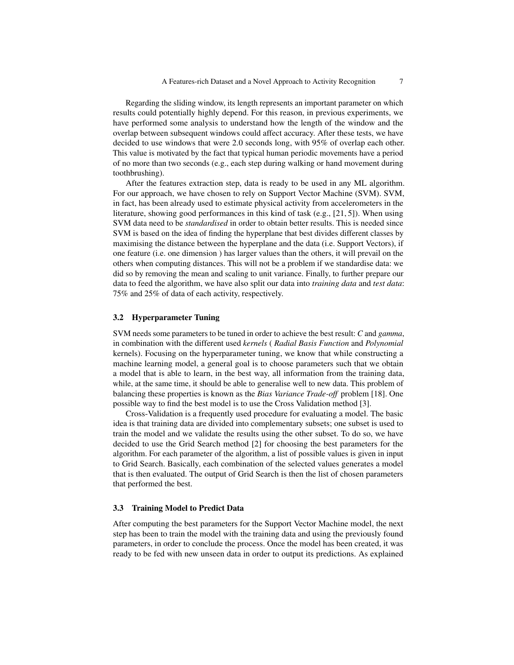Regarding the sliding window, its length represents an important parameter on which results could potentially highly depend. For this reason, in previous experiments, we have performed some analysis to understand how the length of the window and the overlap between subsequent windows could affect accuracy. After these tests, we have decided to use windows that were 2.0 seconds long, with 95% of overlap each other. This value is motivated by the fact that typical human periodic movements have a period of no more than two seconds (e.g., each step during walking or hand movement during toothbrushing).

After the features extraction step, data is ready to be used in any ML algorithm. For our approach, we have chosen to rely on Support Vector Machine (SVM). SVM, in fact, has been already used to estimate physical activity from accelerometers in the literature, showing good performances in this kind of task (e.g., [21, 5]). When using SVM data need to be *standardised* in order to obtain better results. This is needed since SVM is based on the idea of finding the hyperplane that best divides different classes by maximising the distance between the hyperplane and the data (i.e. Support Vectors), if one feature (i.e. one dimension ) has larger values than the others, it will prevail on the others when computing distances. This will not be a problem if we standardise data: we did so by removing the mean and scaling to unit variance. Finally, to further prepare our data to feed the algorithm, we have also split our data into *training data* and *test data*: 75% and 25% of data of each activity, respectively.

#### 3.2 Hyperparameter Tuning

SVM needs some parameters to be tuned in order to achieve the best result: *C* and *gamma*, in combination with the different used *kernels* ( *Radial Basis Function* and *Polynomial* kernels). Focusing on the hyperparameter tuning, we know that while constructing a machine learning model, a general goal is to choose parameters such that we obtain a model that is able to learn, in the best way, all information from the training data, while, at the same time, it should be able to generalise well to new data. This problem of balancing these properties is known as the *Bias Variance Trade-off* problem [18]. One possible way to find the best model is to use the Cross Validation method [3].

Cross-Validation is a frequently used procedure for evaluating a model. The basic idea is that training data are divided into complementary subsets; one subset is used to train the model and we validate the results using the other subset. To do so, we have decided to use the Grid Search method [2] for choosing the best parameters for the algorithm. For each parameter of the algorithm, a list of possible values is given in input to Grid Search. Basically, each combination of the selected values generates a model that is then evaluated. The output of Grid Search is then the list of chosen parameters that performed the best.

#### 3.3 Training Model to Predict Data

After computing the best parameters for the Support Vector Machine model, the next step has been to train the model with the training data and using the previously found parameters, in order to conclude the process. Once the model has been created, it was ready to be fed with new unseen data in order to output its predictions. As explained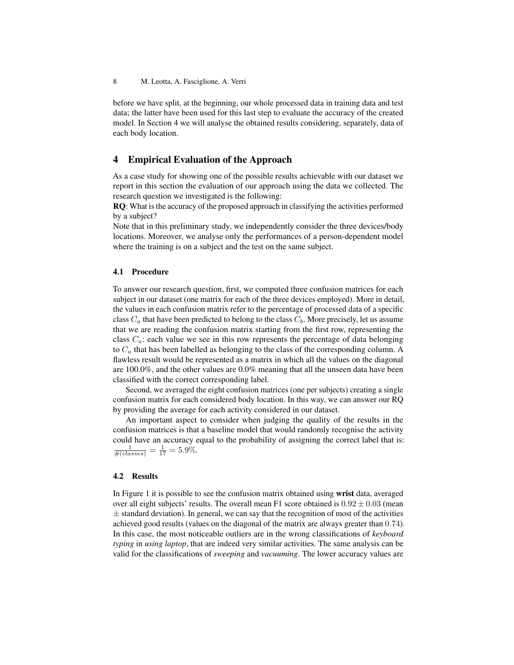before we have split, at the beginning, our whole processed data in training data and test data; the latter have been used for this last step to evaluate the accuracy of the created model. In Section 4 we will analyse the obtained results considering, separately, data of each body location.

# 4 Empirical Evaluation of the Approach

As a case study for showing one of the possible results achievable with our dataset we report in this section the evaluation of our approach using the data we collected. The research question we investigated is the following:

RQ: What is the accuracy of the proposed approach in classifying the activities performed by a subject?

Note that in this preliminary study, we independently consider the three devices/body locations. Moreover, we analyse only the performances of a person-dependent model where the training is on a subject and the test on the same subject.

#### 4.1 Procedure

To answer our research question, first, we computed three confusion matrices for each subject in our dataset (one matrix for each of the three devices employed). More in detail, the values in each confusion matrix refer to the percentage of processed data of a specific class  $C_a$  that have been predicted to belong to the class  $C_b$ . More precisely, let us assume that we are reading the confusion matrix starting from the first row, representing the class  $C_a$ : each value we see in this row represents the percentage of data belonging to  $C_a$  that has been labelled as belonging to the class of the corresponding column. A flawless result would be represented as a matrix in which all the values on the diagonal are 100.0%, and the other values are 0.0% meaning that all the unseen data have been classified with the correct corresponding label.

Second, we averaged the eight confusion matrices (one per subjects) creating a single confusion matrix for each considered body location. In this way, we can answer our RQ by providing the average for each activity considered in our dataset.

An important aspect to consider when judging the quality of the results in the confusion matrices is that a baseline model that would randomly recognise the activity could have an accuracy equal to the probability of assigning the correct label that is:  $\frac{1}{\#(classes)} = \frac{1}{17} = 5.9\%.$ 

#### 4.2 Results

In Figure 1 it is possible to see the confusion matrix obtained using wrist data, averaged over all eight subjects' results. The overall mean F1 score obtained is  $0.92 \pm 0.03$  (mean  $\pm$  standard deviation). In general, we can say that the recognition of most of the activities achieved good results (values on the diagonal of the matrix are always greater than 0.74). In this case, the most noticeable outliers are in the wrong classifications of *keyboard typing* in *using laptop*, that are indeed very similar activities. The same analysis can be valid for the classifications of *sweeping* and *vacuuming*. The lower accuracy values are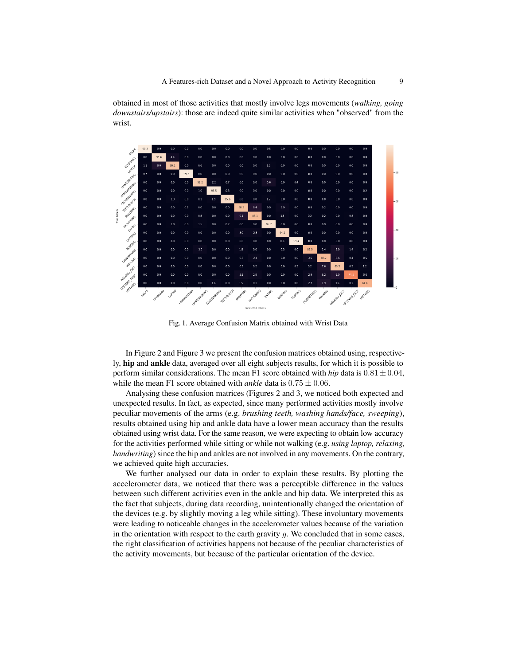obtained in most of those activities that mostly involve legs movements (*walking, going downstairs/upstairs*): those are indeed quite similar activities when "observed" from the wrist.



Fig. 1. Average Confusion Matrix obtained with Wrist Data

In Figure 2 and Figure 3 we present the confusion matrices obtained using, respectively, hip and ankle data, averaged over all eight subjects results, for which it is possible to perform similar considerations. The mean F1 score obtained with *hip* data is  $0.81 \pm 0.04$ , while the mean F1 score obtained with *ankle* data is  $0.75 \pm 0.06$ .

Analysing these confusion matrices (Figures 2 and 3, we noticed both expected and unexpected results. In fact, as expected, since many performed activities mostly involve peculiar movements of the arms (e.g. *brushing teeth, washing hands/face, sweeping*), results obtained using hip and ankle data have a lower mean accuracy than the results obtained using wrist data. For the same reason, we were expecting to obtain low accuracy for the activities performed while sitting or while not walking (e.g. *using laptop, relaxing, handwriting*) since the hip and ankles are not involved in any movements. On the contrary, we achieved quite high accuracies.

We further analysed our data in order to explain these results. By plotting the accelerometer data, we noticed that there was a perceptible difference in the values between such different activities even in the ankle and hip data. We interpreted this as the fact that subjects, during data recording, unintentionally changed the orientation of the devices (e.g. by slightly moving a leg while sitting). These involuntary movements were leading to noticeable changes in the accelerometer values because of the variation in the orientation with respect to the earth gravity  $q$ . We concluded that in some cases, the right classification of activities happens not because of the peculiar characteristics of the activity movements, but because of the particular orientation of the device.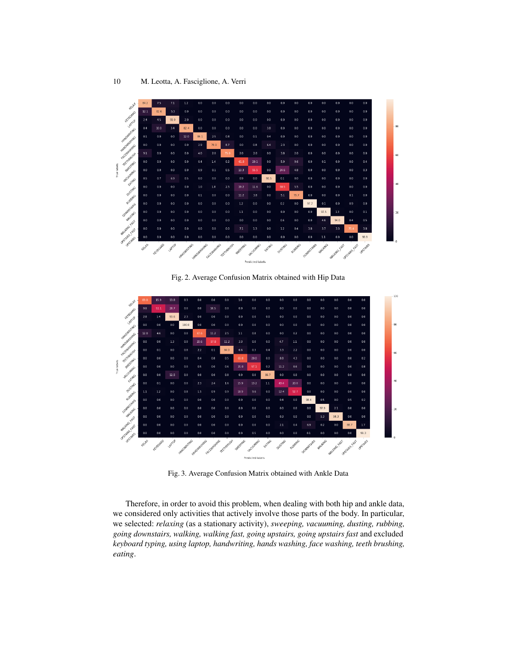

Fig. 2. Average Confusion Matrix obtained with Hip Data



Fig. 3. Average Confusion Matrix obtained with Ankle Data

Therefore, in order to avoid this problem, when dealing with both hip and ankle data, we considered only activities that actively involve those parts of the body. In particular, we selected: *relaxing* (as a stationary activity), *sweeping, vacuuming, dusting, rubbing, going downstairs, walking, walking fast, going upstairs, going upstairs fast* and excluded *keyboard typing, using laptop, handwriting, hands washing, face washing, teeth brushing, eating*.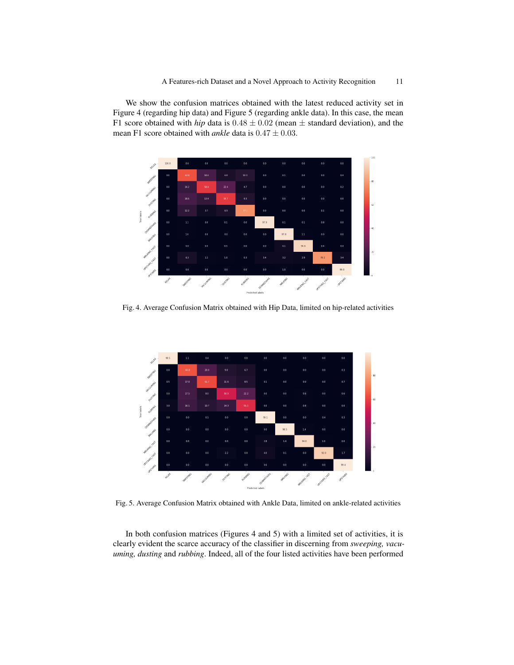We show the confusion matrices obtained with the latest reduced activity set in Figure 4 (regarding hip data) and Figure 5 (regarding ankle data). In this case, the mean F1 score obtained with *hip* data is  $0.48 \pm 0.02$  (mean  $\pm$  standard deviation), and the mean F1 score obtained with *ankle* data is  $0.47 \pm 0.03$ .



Fig. 4. Average Confusion Matrix obtained with Hip Data, limited on hip-related activities



Fig. 5. Average Confusion Matrix obtained with Ankle Data, limited on ankle-related activities

In both confusion matrices (Figures 4 and 5) with a limited set of activities, it is clearly evident the scarce accuracy of the classifier in discerning from *sweeping, vacuuming, dusting* and *rubbing*. Indeed, all of the four listed activities have been performed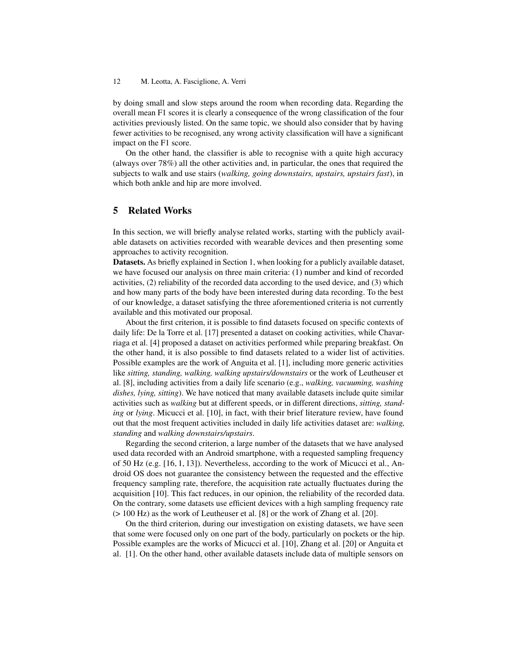by doing small and slow steps around the room when recording data. Regarding the overall mean F1 scores it is clearly a consequence of the wrong classification of the four activities previously listed. On the same topic, we should also consider that by having fewer activities to be recognised, any wrong activity classification will have a significant impact on the F1 score.

On the other hand, the classifier is able to recognise with a quite high accuracy (always over 78%) all the other activities and, in particular, the ones that required the subjects to walk and use stairs (*walking, going downstairs, upstairs, upstairs fast*), in which both ankle and hip are more involved.

# 5 Related Works

In this section, we will briefly analyse related works, starting with the publicly available datasets on activities recorded with wearable devices and then presenting some approaches to activity recognition.

Datasets. As briefly explained in Section 1, when looking for a publicly available dataset, we have focused our analysis on three main criteria: (1) number and kind of recorded activities, (2) reliability of the recorded data according to the used device, and (3) which and how many parts of the body have been interested during data recording. To the best of our knowledge, a dataset satisfying the three aforementioned criteria is not currently available and this motivated our proposal.

About the first criterion, it is possible to find datasets focused on specific contexts of daily life: De la Torre et al. [17] presented a dataset on cooking activities, while Chavarriaga et al. [4] proposed a dataset on activities performed while preparing breakfast. On the other hand, it is also possible to find datasets related to a wider list of activities. Possible examples are the work of Anguita et al. [1], including more generic activities like *sitting, standing, walking, walking upstairs/downstairs* or the work of Leutheuser et al. [8], including activities from a daily life scenario (e.g., *walking, vacuuming, washing dishes, lying, sitting*). We have noticed that many available datasets include quite similar activities such as *walking* but at different speeds, or in different directions, *sitting, standing* or *lying*. Micucci et al. [10], in fact, with their brief literature review, have found out that the most frequent activities included in daily life activities dataset are: *walking, standing* and *walking downstairs/upstairs*.

Regarding the second criterion, a large number of the datasets that we have analysed used data recorded with an Android smartphone, with a requested sampling frequency of 50 Hz (e.g. [16, 1, 13]). Nevertheless, according to the work of Micucci et al., Android OS does not guarantee the consistency between the requested and the effective frequency sampling rate, therefore, the acquisition rate actually fluctuates during the acquisition [10]. This fact reduces, in our opinion, the reliability of the recorded data. On the contrary, some datasets use efficient devices with a high sampling frequency rate (> 100 Hz) as the work of Leutheuser et al. [8] or the work of Zhang et al. [20].

On the third criterion, during our investigation on existing datasets, we have seen that some were focused only on one part of the body, particularly on pockets or the hip. Possible examples are the works of Micucci et al. [10], Zhang et al. [20] or Anguita et al. [1]. On the other hand, other available datasets include data of multiple sensors on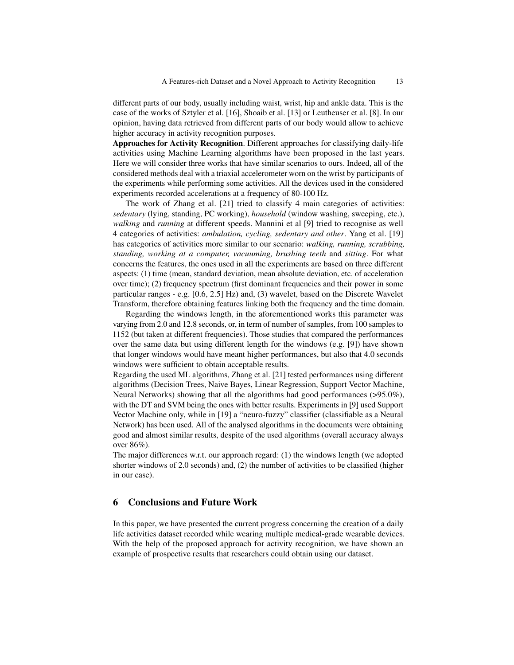different parts of our body, usually including waist, wrist, hip and ankle data. This is the case of the works of Sztyler et al. [16], Shoaib et al. [13] or Leutheuser et al. [8]. In our opinion, having data retrieved from different parts of our body would allow to achieve higher accuracy in activity recognition purposes.

Approaches for Activity Recognition. Different approaches for classifying daily-life activities using Machine Learning algorithms have been proposed in the last years. Here we will consider three works that have similar scenarios to ours. Indeed, all of the considered methods deal with a triaxial accelerometer worn on the wrist by participants of the experiments while performing some activities. All the devices used in the considered experiments recorded accelerations at a frequency of 80-100 Hz.

The work of Zhang et al. [21] tried to classify 4 main categories of activities: *sedentary* (lying, standing, PC working), *household* (window washing, sweeping, etc.), *walking* and *running* at different speeds. Mannini et al [9] tried to recognise as well 4 categories of activities: *ambulation, cycling, sedentary and other*. Yang et al. [19] has categories of activities more similar to our scenario: *walking, running, scrubbing, standing, working at a computer, vacuuming, brushing teeth* and *sitting*. For what concerns the features, the ones used in all the experiments are based on three different aspects: (1) time (mean, standard deviation, mean absolute deviation, etc. of acceleration over time); (2) frequency spectrum (first dominant frequencies and their power in some particular ranges - e.g. [0.6, 2.5] Hz) and, (3) wavelet, based on the Discrete Wavelet Transform, therefore obtaining features linking both the frequency and the time domain.

Regarding the windows length, in the aforementioned works this parameter was varying from 2.0 and 12.8 seconds, or, in term of number of samples, from 100 samples to 1152 (but taken at different frequencies). Those studies that compared the performances over the same data but using different length for the windows (e.g. [9]) have shown that longer windows would have meant higher performances, but also that 4.0 seconds windows were sufficient to obtain acceptable results.

Regarding the used ML algorithms, Zhang et al. [21] tested performances using different algorithms (Decision Trees, Naive Bayes, Linear Regression, Support Vector Machine, Neural Networks) showing that all the algorithms had good performances (>95.0%), with the DT and SVM being the ones with better results. Experiments in [9] used Support Vector Machine only, while in [19] a "neuro-fuzzy" classifier (classifiable as a Neural Network) has been used. All of the analysed algorithms in the documents were obtaining good and almost similar results, despite of the used algorithms (overall accuracy always over 86%).

The major differences w.r.t. our approach regard: (1) the windows length (we adopted shorter windows of 2.0 seconds) and, (2) the number of activities to be classified (higher in our case).

## 6 Conclusions and Future Work

In this paper, we have presented the current progress concerning the creation of a daily life activities dataset recorded while wearing multiple medical-grade wearable devices. With the help of the proposed approach for activity recognition, we have shown an example of prospective results that researchers could obtain using our dataset.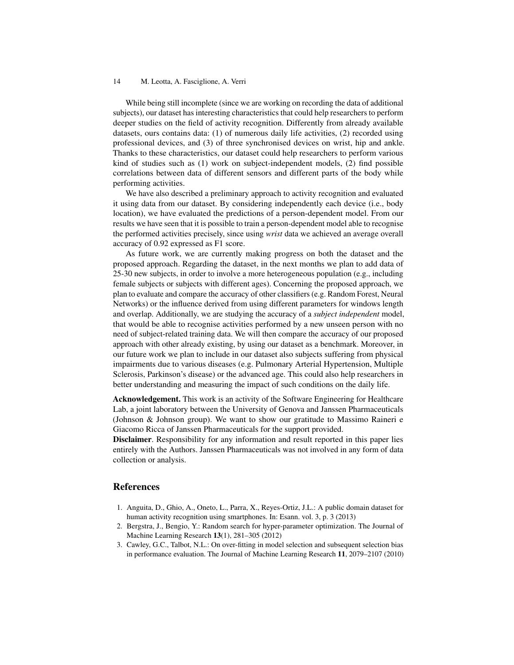#### 14 M. Leotta, A. Fasciglione, A. Verri

While being still incomplete (since we are working on recording the data of additional subjects), our dataset has interesting characteristics that could help researchers to perform deeper studies on the field of activity recognition. Differently from already available datasets, ours contains data: (1) of numerous daily life activities, (2) recorded using professional devices, and (3) of three synchronised devices on wrist, hip and ankle. Thanks to these characteristics, our dataset could help researchers to perform various kind of studies such as (1) work on subject-independent models, (2) find possible correlations between data of different sensors and different parts of the body while performing activities.

We have also described a preliminary approach to activity recognition and evaluated it using data from our dataset. By considering independently each device (i.e., body location), we have evaluated the predictions of a person-dependent model. From our results we have seen that it is possible to train a person-dependent model able to recognise the performed activities precisely, since using *wrist* data we achieved an average overall accuracy of 0.92 expressed as F1 score.

As future work, we are currently making progress on both the dataset and the proposed approach. Regarding the dataset, in the next months we plan to add data of 25-30 new subjects, in order to involve a more heterogeneous population (e.g., including female subjects or subjects with different ages). Concerning the proposed approach, we plan to evaluate and compare the accuracy of other classifiers (e.g. Random Forest, Neural Networks) or the influence derived from using different parameters for windows length and overlap. Additionally, we are studying the accuracy of a *subject independent* model, that would be able to recognise activities performed by a new unseen person with no need of subject-related training data. We will then compare the accuracy of our proposed approach with other already existing, by using our dataset as a benchmark. Moreover, in our future work we plan to include in our dataset also subjects suffering from physical impairments due to various diseases (e.g. Pulmonary Arterial Hypertension, Multiple Sclerosis, Parkinson's disease) or the advanced age. This could also help researchers in better understanding and measuring the impact of such conditions on the daily life.

Acknowledgement. This work is an activity of the Software Engineering for Healthcare Lab, a joint laboratory between the University of Genova and Janssen Pharmaceuticals (Johnson & Johnson group). We want to show our gratitude to Massimo Raineri e Giacomo Ricca of Janssen Pharmaceuticals for the support provided.

Disclaimer. Responsibility for any information and result reported in this paper lies entirely with the Authors. Janssen Pharmaceuticals was not involved in any form of data collection or analysis.

# **References**

- 1. Anguita, D., Ghio, A., Oneto, L., Parra, X., Reyes-Ortiz, J.L.: A public domain dataset for human activity recognition using smartphones. In: Esann. vol. 3, p. 3 (2013)
- 2. Bergstra, J., Bengio, Y.: Random search for hyper-parameter optimization. The Journal of Machine Learning Research 13(1), 281–305 (2012)
- 3. Cawley, G.C., Talbot, N.L.: On over-fitting in model selection and subsequent selection bias in performance evaluation. The Journal of Machine Learning Research 11, 2079–2107 (2010)